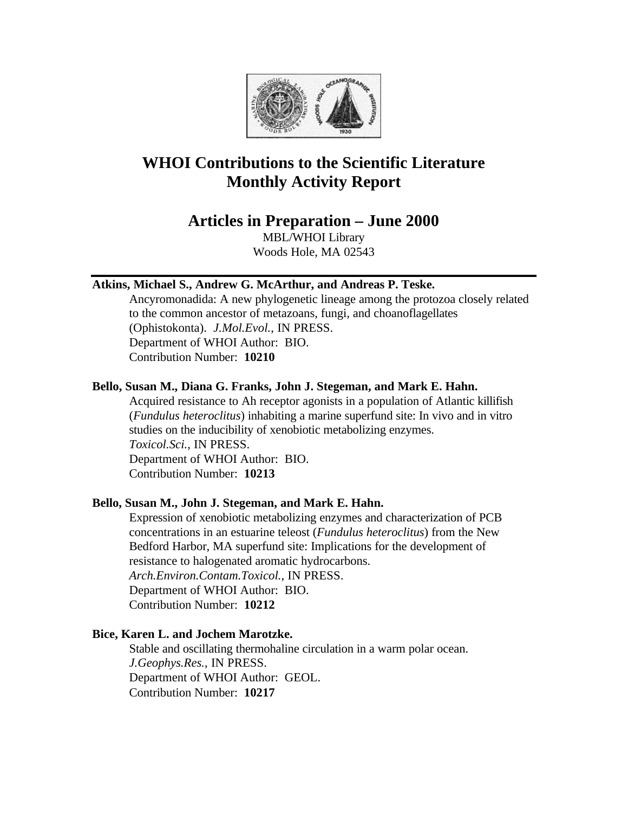

# **WHOI Contributions to the Scientific Literature Monthly Activity Report**

# **Articles in Preparation – June 2000**

MBL/WHOI Library Woods Hole, MA 02543

# **Atkins, Michael S., Andrew G. McArthur, and Andreas P. Teske.**

Ancyromonadida: A new phylogenetic lineage among the protozoa closely related to the common ancestor of metazoans, fungi, and choanoflagellates (Ophistokonta). *J.Mol.Evol.*, IN PRESS. Department of WHOI Author: BIO. Contribution Number: **10210**

# **Bello, Susan M., Diana G. Franks, John J. Stegeman, and Mark E. Hahn.**

Acquired resistance to Ah receptor agonists in a population of Atlantic killifish (*Fundulus heteroclitus*) inhabiting a marine superfund site: In vivo and in vitro studies on the inducibility of xenobiotic metabolizing enzymes. *Toxicol.Sci.*, IN PRESS. Department of WHOI Author: BIO. Contribution Number: **10213**

# **Bello, Susan M., John J. Stegeman, and Mark E. Hahn.**

Expression of xenobiotic metabolizing enzymes and characterization of PCB concentrations in an estuarine teleost (*Fundulus heteroclitus*) from the New Bedford Harbor, MA superfund site: Implications for the development of resistance to halogenated aromatic hydrocarbons. *Arch.Environ.Contam.Toxicol.*, IN PRESS. Department of WHOI Author: BIO.

Contribution Number: **10212**

# **Bice, Karen L. and Jochem Marotzke.**

Stable and oscillating thermohaline circulation in a warm polar ocean. *J.Geophys.Res.*, IN PRESS. Department of WHOI Author: GEOL. Contribution Number: **10217**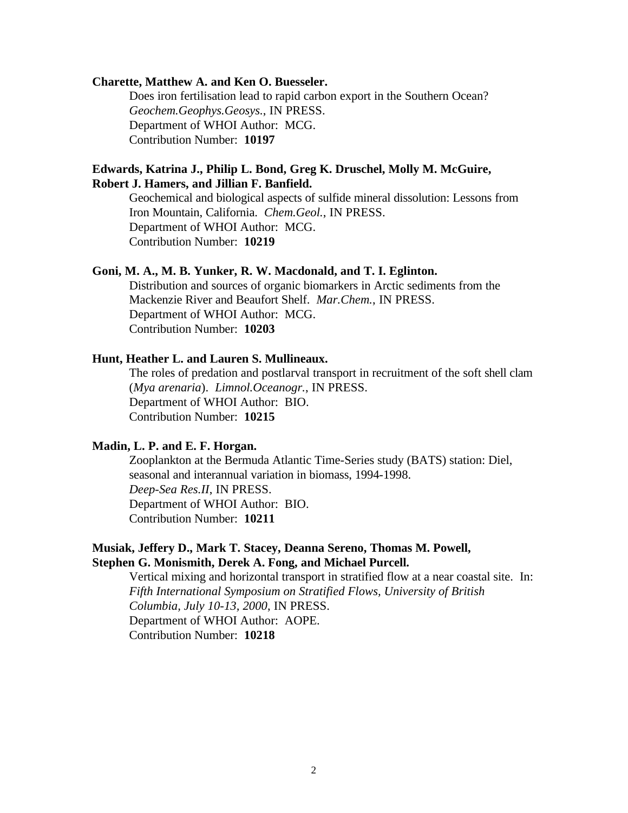#### **Charette, Matthew A. and Ken O. Buesseler.**

Does iron fertilisation lead to rapid carbon export in the Southern Ocean? *Geochem.Geophys.Geosys.*, IN PRESS. Department of WHOI Author: MCG. Contribution Number: **10197**

# **Edwards, Katrina J., Philip L. Bond, Greg K. Druschel, Molly M. McGuire, Robert J. Hamers, and Jillian F. Banfield.**

Geochemical and biological aspects of sulfide mineral dissolution: Lessons from Iron Mountain, California. *Chem.Geol.*, IN PRESS. Department of WHOI Author: MCG. Contribution Number: **10219**

#### **Goni, M. A., M. B. Yunker, R. W. Macdonald, and T. I. Eglinton.**

Distribution and sources of organic biomarkers in Arctic sediments from the Mackenzie River and Beaufort Shelf. *Mar.Chem.*, IN PRESS. Department of WHOI Author: MCG. Contribution Number: **10203**

#### **Hunt, Heather L. and Lauren S. Mullineaux.**

The roles of predation and postlarval transport in recruitment of the soft shell clam (*Mya arenaria*). *Limnol.Oceanogr.*, IN PRESS. Department of WHOI Author: BIO. Contribution Number: **10215**

#### **Madin, L. P. and E. F. Horgan.**

Zooplankton at the Bermuda Atlantic Time-Series study (BATS) station: Diel, seasonal and interannual variation in biomass, 1994-1998. *Deep-Sea Res.II*, IN PRESS. Department of WHOI Author: BIO. Contribution Number: **10211**

### **Musiak, Jeffery D., Mark T. Stacey, Deanna Sereno, Thomas M. Powell, Stephen G. Monismith, Derek A. Fong, and Michael Purcell.**

Vertical mixing and horizontal transport in stratified flow at a near coastal site. In: *Fifth International Symposium on Stratified Flows, University of British Columbia, July 10-13, 2000*, IN PRESS. Department of WHOI Author: AOPE. Contribution Number: **10218**